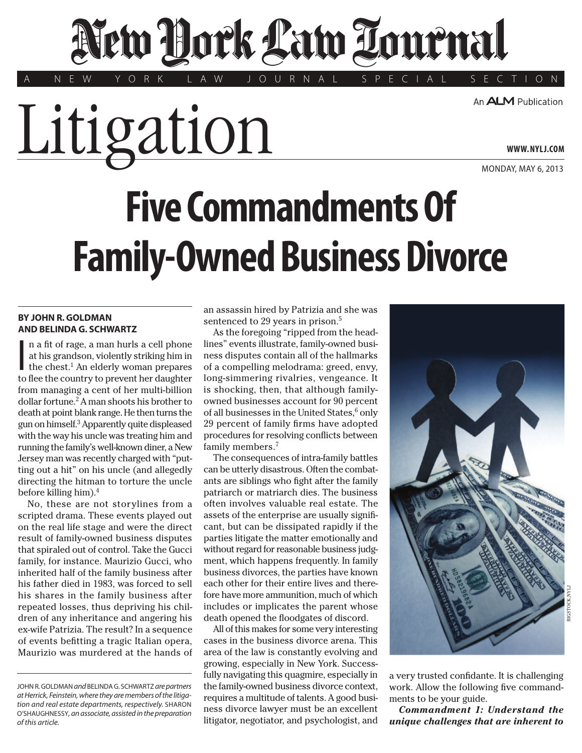# New Hork Law Tournal

Y O R K L A W J O U R N A L S P E C I A L S E C T I O N

An **ALM** Publication

**WWW. NYLJ.COM**

MONDAY, MAY 6, 2013

# **Five Commandments Of Family-Owned Business Divorce**

# **BY JOHN R. GOLDMAN AND BELINDA G. SCHWARTZ**

 $\parallel$ n a fit of rage, a man hurls a cell phone at his grandson, violently striking him in the chest.<sup>1</sup> An elderly woman prepares to flee the country to prevent her daughter n a fit of rage, a man hurls a cell phone at his grandson, violently striking him in the chest.<sup>1</sup> An elderly woman prepares from managing a cent of her multi-billion dollar fortune.<sup>2</sup> A man shoots his brother to death at point blank range. He then turns the gun on himself.3 Apparently quite displeased with the way his uncle was treating him and running the family's well-known diner, a New Jersey man was recently charged with "putting out a hit" on his uncle (and allegedly directing the hitman to torture the uncle before killing him).4

Litigation

No, these are not storylines from a scripted drama. These events played out on the real life stage and were the direct result of family-owned business disputes that spiraled out of control. Take the Gucci family, for instance. Maurizio Gucci, who inherited half of the family business after his father died in 1983, was forced to sell his shares in the family business after repeated losses, thus depriving his children of any inheritance and angering his ex-wife Patrizia. The result? In a sequence of events befitting a tragic Italian opera, Maurizio was murdered at the hands of an assassin hired by Patrizia and she was sentenced to 29 years in prison.<sup>5</sup>

As the foregoing "ripped from the headlines" events illustrate, family-owned business disputes contain all of the hallmarks of a compelling melodrama: greed, envy, long-simmering rivalries, vengeance. It is shocking, then, that although familyowned businesses account for 90 percent of all businesses in the United States,<sup>6</sup> only 29 percent of family firms have adopted procedures for resolving conflicts between family members.7

The consequences of intra-family battles can be utterly disastrous. Often the combatants are siblings who fight after the family patriarch or matriarch dies. The business often involves valuable real estate. The assets of the enterprise are usually significant, but can be dissipated rapidly if the parties litigate the matter emotionally and without regard for reasonable business judgment, which happens frequently. In family business divorces, the parties have known each other for their entire lives and therefore have more ammunition, much of which includes or implicates the parent whose death opened the floodgates of discord.

All of this makes for some very interesting cases in the business divorce arena. This area of the law is constantly evolving and growing, especially in New York. Successfully navigating this quagmire, especially in the family-owned business divorce context, requires a multitude of talents. A good business divorce lawyer must be an excellent litigator, negotiator, and psychologist, and



a very trusted confidante. It is challenging work. Allow the following five commandments to be your guide.

*Commandment 1: Understand the unique challenges that are inherent to* 

JOHN R. GOLDMAN *and* BELINDA G. SCHWARTZ *are partners at Herrick, Feinstein, where they are members of the litigation and real estate departments, respectively.* SHARON O'SHAUGHNESSY*, an associate, assisted in the preparation of this article.*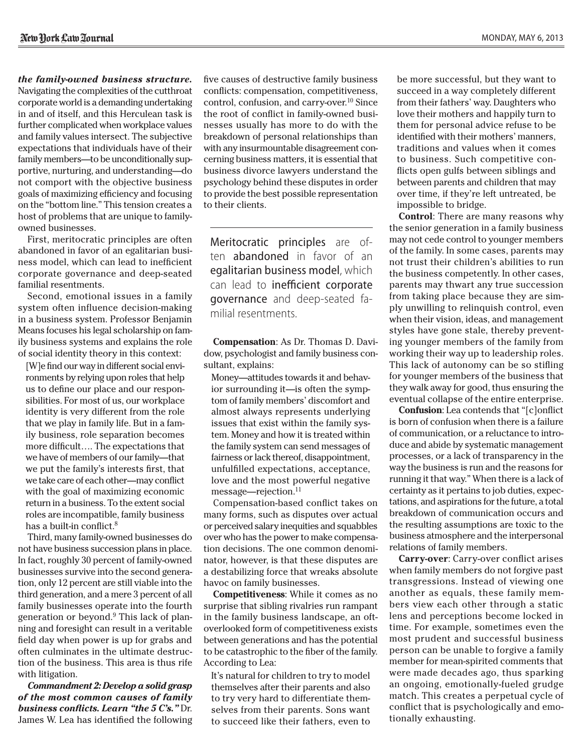*the family-owned business structure.* Navigating the complexities of the cutthroat corporate world is a demanding undertaking in and of itself, and this Herculean task is further complicated when workplace values and family values intersect. The subjective expectations that individuals have of their family members—to be unconditionally supportive, nurturing, and understanding—do not comport with the objective business goals of maximizing efficiency and focusing on the "bottom line." This tension creates a host of problems that are unique to familyowned businesses.

First, meritocratic principles are often abandoned in favor of an egalitarian business model, which can lead to inefficient corporate governance and deep-seated familial resentments.

Second, emotional issues in a family system often influence decision-making in a business system. Professor Benjamin Means focuses his legal scholarship on family business systems and explains the role of social identity theory in this context:

[W]e find our way in different social environments by relying upon roles that help us to define our place and our responsibilities. For most of us, our workplace identity is very different from the role that we play in family life. But in a family business, role separation becomes more difficult…. The expectations that we have of members of our family—that we put the family's interests first, that we take care of each other—may conflict with the goal of maximizing economic return in a business. To the extent social roles are incompatible, family business has a built-in conflict.<sup>8</sup>

Third, many family-owned businesses do not have business succession plans in place. In fact, roughly 30 percent of family-owned businesses survive into the second generation, only 12 percent are still viable into the third generation, and a mere 3 percent of all family businesses operate into the fourth generation or beyond.9 This lack of planning and foresight can result in a veritable field day when power is up for grabs and often culminates in the ultimate destruction of the business. This area is thus rife with litigation.

*Commandment 2: Develop a solid grasp of the most common causes of family business conflicts. Learn "the 5 C's."* Dr. James W. Lea has identified the following five causes of destructive family business conflicts: compensation, competitiveness, control, confusion, and carry-over.<sup>10</sup> Since the root of conflict in family-owned businesses usually has more to do with the breakdown of personal relationships than with any insurmountable disagreement concerning business matters, it is essential that business divorce lawyers understand the psychology behind these disputes in order to provide the best possible representation to their clients.

Meritocratic principles are often abandoned in favor of an egalitarian business model, which can lead to inefficient corporate governance and deep-seated familial resentments.

**Compensation**: As Dr. Thomas D. Davidow, psychologist and family business consultant, explains:

Money—attitudes towards it and behavior surrounding it—is often the symptom of family members' discomfort and almost always represents underlying issues that exist within the family system. Money and how it is treated within the family system can send messages of fairness or lack thereof, disappointment, unfulfilled expectations, acceptance, love and the most powerful negative message—rejection.<sup>11</sup>

Compensation-based conflict takes on many forms, such as disputes over actual or perceived salary inequities and squabbles over who has the power to make compensation decisions. The one common denominator, however, is that these disputes are a destabilizing force that wreaks absolute havoc on family businesses.

**Competitiveness**: While it comes as no surprise that sibling rivalries run rampant in the family business landscape, an oftoverlooked form of competitiveness exists between generations and has the potential to be catastrophic to the fiber of the family. According to Lea:

It's natural for children to try to model themselves after their parents and also to try very hard to differentiate themselves from their parents. Sons want to succeed like their fathers, even to

be more successful, but they want to succeed in a way completely different from their fathers' way. Daughters who love their mothers and happily turn to them for personal advice refuse to be identified with their mothers' manners, traditions and values when it comes to business. Such competitive conflicts open gulfs between siblings and between parents and children that may over time, if they're left untreated, be impossible to bridge.

**Control**: There are many reasons why the senior generation in a family business may not cede control to younger members of the family. In some cases, parents may not trust their children's abilities to run the business competently. In other cases, parents may thwart any true succession from taking place because they are simply unwilling to relinquish control, even when their vision, ideas, and management styles have gone stale, thereby preventing younger members of the family from working their way up to leadership roles. This lack of autonomy can be so stifling for younger members of the business that they walk away for good, thus ensuring the eventual collapse of the entire enterprise.

**Confusion**: Lea contends that "[c]onflict is born of confusion when there is a failure of communication, or a reluctance to introduce and abide by systematic management processes, or a lack of transparency in the way the business is run and the reasons for running it that way." When there is a lack of certainty as it pertains to job duties, expectations, and aspirations for the future, a total breakdown of communication occurs and the resulting assumptions are toxic to the business atmosphere and the interpersonal relations of family members.

**Carry-over**: Carry-over conflict arises when family members do not forgive past transgressions. Instead of viewing one another as equals, these family members view each other through a static lens and perceptions become locked in time. For example, sometimes even the most prudent and successful business person can be unable to forgive a family member for mean-spirited comments that were made decades ago, thus sparking an ongoing, emotionally-fueled grudge match. This creates a perpetual cycle of conflict that is psychologically and emotionally exhausting.